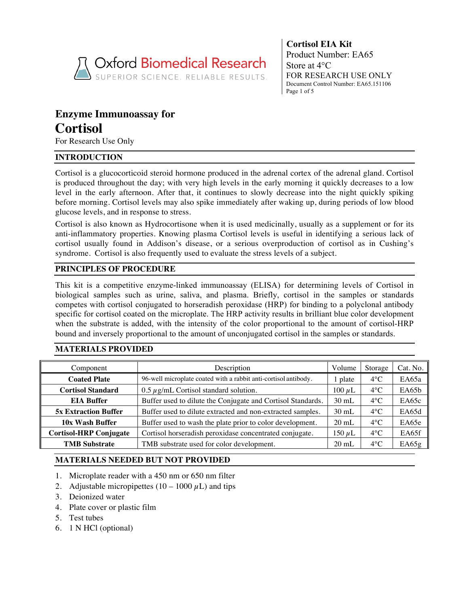

**Cortisol EIA Kit** Product Number: EA65 Store at 4°C FOR RESEARCH USE ONLY Document Control Number: EA65.151106 Page 1 of 5

# **Enzyme Immunoassay for Cortisol**

For Research Use Only

# **INTRODUCTION**

Cortisol is a glucocorticoid steroid hormone produced in the adrenal cortex of the adrenal gland. Cortisol is produced throughout the day; with very high levels in the early morning it quickly decreases to a low level in the early afternoon. After that, it continues to slowly decrease into the night quickly spiking before morning. Cortisol levels may also spike immediately after waking up, during periods of low blood glucose levels, and in response to stress.

Cortisol is also known as Hydrocortisone when it is used medicinally, usually as a supplement or for its anti-inflammatory properties. Knowing plasma Cortisol levels is useful in identifying a serious lack of cortisol usually found in Addison's disease, or a serious overproduction of cortisol as in Cushing's syndrome. Cortisol is also frequently used to evaluate the stress levels of a subject.

# **PRINCIPLES OF PROCEDURE**

This kit is a competitive enzyme-linked immunoassay (ELISA) for determining levels of Cortisol in biological samples such as urine, saliva, and plasma. Briefly, cortisol in the samples or standards competes with cortisol conjugated to horseradish peroxidase (HRP) for binding to a polyclonal antibody specific for cortisol coated on the microplate. The HRP activity results in brilliant blue color development when the substrate is added, with the intensity of the color proportional to the amount of cortisol-HRP bound and inversely proportional to the amount of unconjugated cortisol in the samples or standards.

# **MATERIALS PROVIDED**

| Component                                                                                | Description                                                     |                 |               |        |
|------------------------------------------------------------------------------------------|-----------------------------------------------------------------|-----------------|---------------|--------|
| <b>Coated Plate</b>                                                                      | 96-well microplate coated with a rabbit anti-cortisol antibody. |                 |               |        |
| <b>Cortisol Standard</b>                                                                 | $100 \mu L$                                                     | $4^{\circ}$ C   | EA65b         |        |
| <b>EIA Buffer</b>                                                                        | Buffer used to dilute the Conjugate and Cortisol Standards.     | $30$ mL         | $4^{\circ}$ C | E A65c |
| <b>5x Extraction Buffer</b>                                                              | Buffer used to dilute extracted and non-extracted samples.      | $30$ mL         | $4^{\circ}$ C | EA65d  |
| 10x Wash Buffer                                                                          | Buffer used to wash the plate prior to color development.       | $20 \text{ mL}$ | $4^{\circ}$ C | EA65e  |
| <b>Cortisol-HRP Conjugate</b><br>Cortisol horseradish peroxidase concentrated conjugate. |                                                                 | 150 $\mu$ L     | $4^{\circ}$ C | EA65f  |
| <b>TMB Substrate</b>                                                                     | TMB substrate used for color development.                       | $20 \text{ mL}$ | $4^{\circ}$ C | E A65g |

# **MATERIALS NEEDED BUT NOT PROVIDED**

- 1. Microplate reader with a 450 nm or 650 nm filter
- 2. Adjustable micropipettes  $(10 1000 \,\mu L)$  and tips
- 3. Deionized water
- 4. Plate cover or plastic film
- 5. Test tubes
- 6. 1 N HCl (optional)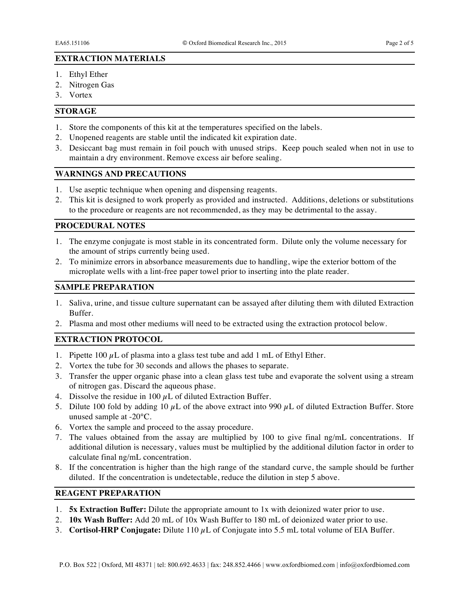#### **EXTRACTION MATERIALS**

- 1. Ethyl Ether
- 2. Nitrogen Gas
- 3. Vortex

## **STORAGE**

- 1. Store the components of this kit at the temperatures specified on the labels.
- 2. Unopened reagents are stable until the indicated kit expiration date.
- 3. Desiccant bag must remain in foil pouch with unused strips. Keep pouch sealed when not in use to maintain a dry environment. Remove excess air before sealing.

## **WARNINGS AND PRECAUTIONS**

- 1. Use aseptic technique when opening and dispensing reagents.
- 2. This kit is designed to work properly as provided and instructed. Additions, deletions or substitutions to the procedure or reagents are not recommended, as they may be detrimental to the assay.

## **PROCEDURAL NOTES**

- 1. The enzyme conjugate is most stable in its concentrated form. Dilute only the volume necessary for the amount of strips currently being used.
- 2. To minimize errors in absorbance measurements due to handling, wipe the exterior bottom of the microplate wells with a lint-free paper towel prior to inserting into the plate reader.

#### **SAMPLE PREPARATION**

- 1. Saliva, urine, and tissue culture supernatant can be assayed after diluting them with diluted Extraction Buffer.
- 2. Plasma and most other mediums will need to be extracted using the extraction protocol below.

# **EXTRACTION PROTOCOL**

- 1. Pipette  $100 \mu L$  of plasma into a glass test tube and add 1 mL of Ethyl Ether.
- 2. Vortex the tube for 30 seconds and allows the phases to separate.
- 3. Transfer the upper organic phase into a clean glass test tube and evaporate the solvent using a stream of nitrogen gas. Discard the aqueous phase.
- 4. Dissolve the residue in 100  $\mu$ L of diluted Extraction Buffer.
- 5. Dilute 100 fold by adding 10  $\mu$ L of the above extract into 990  $\mu$ L of diluted Extraction Buffer. Store unused sample at -20°C.
- 6. Vortex the sample and proceed to the assay procedure.
- 7. The values obtained from the assay are multiplied by 100 to give final ng/mL concentrations. If additional dilution is necessary, values must be multiplied by the additional dilution factor in order to calculate final ng/mL concentration.
- 8. If the concentration is higher than the high range of the standard curve, the sample should be further diluted. If the concentration is undetectable, reduce the dilution in step 5 above.

# **REAGENT PREPARATION**

- 1. **5x Extraction Buffer:** Dilute the appropriate amount to 1x with deionized water prior to use.
- 2. **10x Wash Buffer:** Add 20 mL of 10x Wash Buffer to 180 mL of deionized water prior to use.
- 3. **Cortisol-HRP Conjugate:** Dilute 110 µL of Conjugate into 5.5 mL total volume of EIA Buffer.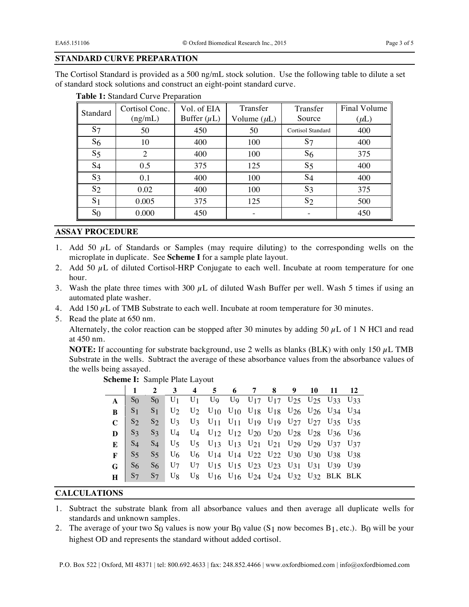# **STANDARD CURVE PREPARATION**

The Cortisol Standard is provided as a 500 ng/mL stock solution. Use the following table to dilute a set of standard stock solutions and construct an eight-point standard curve.

| Standard       | Cortisol Conc. | Vol. of EIA      | Transfer         | Transfer                 | Final Volume |  |
|----------------|----------------|------------------|------------------|--------------------------|--------------|--|
|                | (ng/mL)        | Buffer $(\mu L)$ | Volume $(\mu L)$ | Source                   | $(\mu L)$    |  |
| S <sub>7</sub> | 50             | 450              | 50               | <b>Cortisol Standard</b> | 400          |  |
| S <sub>6</sub> | 10             | 400              | 100              | S <sub>7</sub>           | 400          |  |
| S <sub>5</sub> | 2              | 400              | 100              | S <sub>6</sub>           | 375          |  |
| $S_4$          | 0.5            | 375              | 125              | $S_5$                    | 400          |  |
| $S_3$          | 0.1            | 400              | 100              | $S_4$                    | 400          |  |
| $S_2$          | 0.02           | 400              | 100              | $S_3$                    | 375          |  |
| S <sub>1</sub> | 0.005          | 375              | 125              | S <sub>2</sub>           | 500          |  |
| $S_{0}$        | 0.000          | 450              |                  |                          | 450          |  |

|  | Table 1: Standard Curve Preparation |
|--|-------------------------------------|
|--|-------------------------------------|

# **ASSAY PROCEDURE**

- 1. Add 50  $\mu$ L of Standards or Samples (may require diluting) to the corresponding wells on the microplate in duplicate. See **Scheme I** for a sample plate layout.
- 2. Add 50  $\mu$ L of diluted Cortisol-HRP Conjugate to each well. Incubate at room temperature for one hour.
- 3. Wash the plate three times with 300  $\mu$ L of diluted Wash Buffer per well. Wash 5 times if using an automated plate washer.
- 4. Add 150  $\mu$ L of TMB Substrate to each well. Incubate at room temperature for 30 minutes.
- 5. Read the plate at 650 nm.

Alternately, the color reaction can be stopped after 30 minutes by adding 50  $\mu$ L of 1 N HCl and read at 450 nm.

**NOTE:** If accounting for substrate background, use 2 wells as blanks (BLK) with only 150  $\mu$ L TMB Substrate in the wells. Subtract the average of these absorbance values from the absorbance values of the wells being assayed.

|    |                | $\overline{2}$ | $\mathbf{3}$ | 4 5 6 7 8 9 10                                                                                                                                                                               |  |  | -11 |  |
|----|----------------|----------------|--------------|----------------------------------------------------------------------------------------------------------------------------------------------------------------------------------------------|--|--|-----|--|
|    | S <sub>0</sub> | $S_{0}$        |              | $U_1$ U <sub>1</sub> U <sub>9</sub> U <sub>9</sub> U <sub>17</sub> U <sub>17</sub> U <sub>17</sub> U <sub>25</sub> U <sub>25</sub> U <sub>33</sub> U <sub>33</sub>                           |  |  |     |  |
| R. | S <sub>1</sub> |                |              | S <sub>1</sub> U <sub>2</sub> U <sub>2</sub> U <sub>10</sub> U <sub>10</sub> U <sub>18</sub> U <sub>18</sub> U <sub>26</sub> U <sub>26</sub> U <sub>34</sub> U <sub>34</sub>                 |  |  |     |  |
|    | S <sub>2</sub> |                |              | S <sub>2</sub> U <sub>3</sub> U <sub>3</sub> U <sub>11</sub> U <sub>11</sub> U <sub>19</sub> U <sub>19</sub> U <sub>27</sub> U <sub>27</sub> U <sub>35</sub> U <sub>35</sub>                 |  |  |     |  |
|    | $S_3$          |                |              | S <sub>3</sub> U <sub>4</sub> U <sub>4</sub> U <sub>12</sub> U <sub>12</sub> U <sub>20</sub> U <sub>20</sub> U <sub>28</sub> U <sub>28</sub> U <sub>36</sub> U <sub>36</sub>                 |  |  |     |  |
|    | $S_4$          |                |              | S <sub>4</sub> U <sub>5</sub> U <sub>5</sub> U <sub>13</sub> U <sub>13</sub> U <sub>21</sub> U <sub>21</sub> U <sub>29</sub> U <sub>29</sub> U <sub>29</sub> U <sub>37</sub> U <sub>37</sub> |  |  |     |  |
|    | $S_5$          |                |              | S <sub>5</sub> U <sub>6</sub> U <sub>6</sub> U <sub>14</sub> U <sub>14</sub> U <sub>22</sub> U <sub>22</sub> U <sub>30</sub> U <sub>30</sub> U <sub>38</sub> U <sub>38</sub>                 |  |  |     |  |
|    | $S_6$          |                |              | S <sub>6</sub> U <sub>7</sub> U <sub>7</sub> U <sub>15</sub> U <sub>15</sub> U <sub>23</sub> U <sub>23</sub> U <sub>23</sub> U <sub>31</sub> U <sub>31</sub> U <sub>39</sub> U <sub>39</sub> |  |  |     |  |
|    |                |                |              | S7 S7 U8 U8 U16 U16 U24 U24 U32 U32 BLK BLK                                                                                                                                                  |  |  |     |  |
|    |                |                |              |                                                                                                                                                                                              |  |  |     |  |

#### **Scheme I:** Sample Plate Layout

## **CALCULATIONS**

- 1. Subtract the substrate blank from all absorbance values and then average all duplicate wells for standards and unknown samples.
- 2. The average of your two S<sub>0</sub> values is now your B<sub>0</sub> value (S<sub>1</sub> now becomes B<sub>1</sub>, etc.). B<sub>0</sub> will be your highest OD and represents the standard without added cortisol.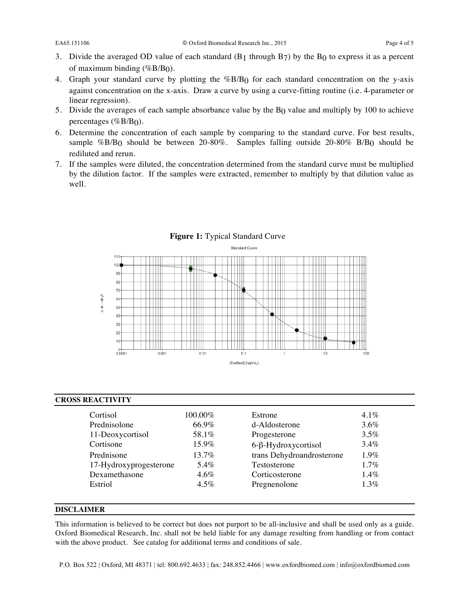- 3. Divide the averaged OD value of each standard  $(B_1)$  through  $B_7$ ) by the  $B_0$  to express it as a percent of maximum binding  $(\%B/B<sub>0</sub>)$ .
- 4. Graph your standard curve by plotting the %B/B0 for each standard concentration on the y-axis against concentration on the x-axis. Draw a curve by using a curve-fitting routine (i.e. 4-parameter or linear regression).
- 5. Divide the averages of each sample absorbance value by the  $B<sub>0</sub>$  value and multiply by 100 to achieve percentages (%B/B<sub>0</sub>).
- 6. Determine the concentration of each sample by comparing to the standard curve. For best results, sample %B/B<sub>0</sub> should be between 20-80%. Samples falling outside 20-80% B/B<sub>0</sub> should be rediluted and rerun.
- 7. If the samples were diluted, the concentration determined from the standard curve must be multiplied by the dilution factor. If the samples were extracted, remember to multiply by that dilution value as well.



#### **Figure 1:** Typical Standard Curve

## **CROSS REACTIVITY**

| Cortisol               | $100.00\%$ | Estrone                    | $4.1\%$ |
|------------------------|------------|----------------------------|---------|
| Prednisolone           | 66.9%      | d-Aldosterone              | $3.6\%$ |
| 11-Deoxycortisol       | 58.1%      | Progesterone               | $3.5\%$ |
| Cortisone              | $15.9\%$   | $6-\beta$ -Hydroxycortisol | $3.4\%$ |
| Prednisone             | $13.7\%$   | trans Dehydroandrosterone  | $1.9\%$ |
| 17-Hydroxyprogesterone | 5.4%       | Testosterone               | $1.7\%$ |
| Dexamethasone          | $4.6\%$    | Corticosterone             | $1.4\%$ |
| Estriol                | $4.5\%$    | Pregnenolone               | $1.3\%$ |

#### **DISCLAIMER**

This information is believed to be correct but does not purport to be all-inclusive and shall be used only as a guide. Oxford Biomedical Research, Inc. shall not be held liable for any damage resulting from handling or from contact with the above product. See catalog for additional terms and conditions of sale.

P.O. Box 522 | Oxford, MI 48371 | tel: 800.692.4633 | fax: 248.852.4466 | www.oxfordbiomed.com | info@oxfordbiomed.com